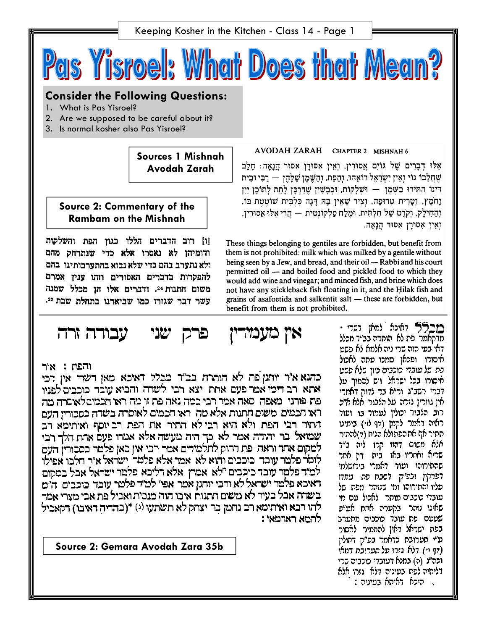Pas Yisroel: What Does that Mean?

# **Consider the Following Questions:**

- 1. What is Pas Yisroel?
- 2. Are we supposed to be careful about it?
- 3. Is normal kosher also Pas Yisroel?

**Sources 1 Mishnah Avodah Zarah** 

**Source 2: Commentary of the Rambam on the Mishnah** 

[ו] רוב הדברים הללו כגון הפת והשלקות ודומיהן לא נאסרו אלא כדי שנתרחק מהם ולא נתערב בהם כדי שלא נבוא בהתערבותינו בהם להפקרות בדברים האסורים וזהו ענין אמרם משום חתנות 24. ודברים אלו הן מכלל שמנה עשר דבר שגזרו כמו שביארנו בתחלת שבת 25.

#### עבודה זרה אין כזעמירין שני פרק

והפת : א״ר

כהנא א"ר יותנן פת לא הותרה בב"ד מכלל דאיכא מאן דשרי אין דכי אתא. רב דימי אמר פעם אחת. יצא. רבי. לשרה והביא עובד. כוכבים לפניו פת פורני. מאפה. סאה אמר רבי במה נאה פת זו מה ראו חכמיםלאוסרה מה ראו הכמים משים חתנות אלא מה. ראו הכמים לאוסרה בשדה כסבוריו העם התיר רבי הפת ולא היא רבי לא התיר את הפת רב יוסף ואיתימא רב שמואל בר יהודה אמר לא כך היה מעשה אלא אמרו פעם אחת הלך רבי למקום אחר וראה. פת רחוק לתלמידים אמר רבי אין כאן פלטר כסבורין העם לומר פלמר עובד כוכבים והוא לא אמר אלא פלמר' ישראל א"ר חלכו אפילו למ"ד פלטר עובד כוכבים "לא. אמרן. אלא דליכא. פלטר ישראל אבל במקום דאיכא פלמר ישראל לא ורבי יוחנן אמר אפי׳ למ״ד פלמר עובד כוכבים. ה״מ בשדה אבל בעיר לא משום תתנות איבו הוה מנכית ואכיל פת אבי מצרי אמר לְהוּ רבא ואיתימא רב נחמן בר יצחק לא תשתעו (י) \*(בהדיה דאיבו) דקאכיל להמא דארמאי :

**Source 2: Gemara Avodah Zara 35b** 

AVODAH ZARAH CHAPTER 2 MISHNAH 6

אָלוּ דְּבָרִים שֵׁל גּוֹיִם אֲסוּרִין, וְאִין אִסוּרָן אִסוּר הַנָאָה: חָלָב שְׁחֲלַבוֹ גוֹי וְאִיז יִשְׂרַאֵל רוֹאֶהוּ, וְהַפָּת, וְהַשֶּׁמַן שָׁלַּהֵן — רַבִּי וּבִית דִּינוֹ הִתְּירוּ בַּשֶׁמֶן — וּשָׁלַקוֹת, וּכְבַשִׁין שֲדַרְכֵּן לַתָת לְתוֹכֵן יַיִן וָחֹמֵץ, וְטָרִית טְרוּפָה, וְצִיר שֶׁאֵין בַּהּ דַּגָה כְּלְבִּית שׁוֹטֵטֶת בּוֹ, וְהַחִילָק, וְקֹרֵט שֶׁל חָלְתִּית, וּמֶלַח סַלְקוֹנְטִית — הָרֵי אֱלוּ אֲסוּרִין, ואין אסורן אסור הנאה.

These things belonging to gentiles are forbidden, but benefit from them is not prohibited: milk which was milked by a gentile without being seen by a Jew, and bread, and their oil — Rabbi and his court permitted oil - and boiled food and pickled food to which they would add wine and vinegar; and minced fish, and brine which does not have any stickleback fish floating in it, and the Hilak fish and grains of asafoetida and salkentit salt - these are forbidden, but benefit from them is not prohibited.

> מברא למאן דערי מדקאמר פת לא הותרה בב״ר מכלל דאי בעי הוה שרי ליה אלמא לא פשט איסורו ומכאן סמכו עתה לאכול פת של עובדי כוכבים כיון שלא פשט איסורו בכל ישראל. ויש לסמוך על דברי רשב"ג ור"א בר לדוק דאמרי אין גוזרין גזרה על הלבור. אלא איכ רוב הלבור יכולין לעמוד בו ועוד ראיה דאמר לקמן (דף לז-) בימיט תתיר אף אתהפתולא הניח (ד)להתיר אלא משום דהוו קרו ליה ב״ד שריא ואחריו באו בית דין אחר שהתירוהו ועוד דאמרי בירושלמי דפרקין ובפ"ק. דשבת פת. עמדו פליו והתירוהו ומי שנזהר מפת של עוברי כוכבים מותר <sup>ו</sup>אכול עם מי שאינו נזהר בקערה אחת אע״פ שטעם פת עובד כוכבים מתערב בפת ישראל דאין להחמיר לאסור ע"י תערובת כדאמר בפ"ק דחולין (דף וי) דלא גזרו על תערובת דמאי וכה״ג (ה) במנא דעובדי כוכבים שרי דליחיה לפת בעיניה דלא. גזרו אלא , היכא דאיתא בעיניה :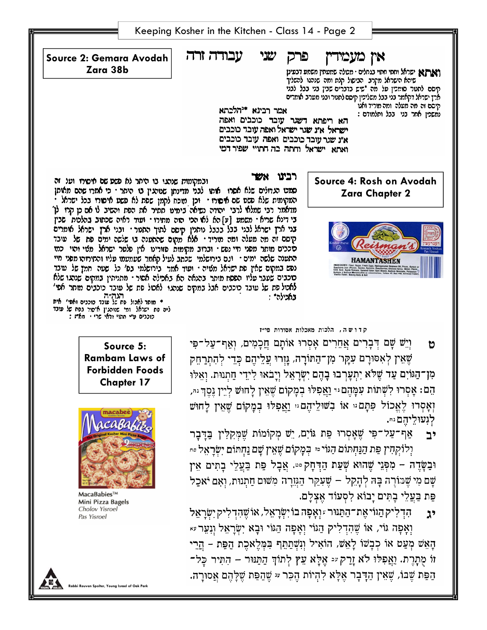|                                                                                                                                                                                       | Keeping Kosher in the Kitchen - Class 14 - Page 2                                                                                                                                                                                                                                                                                                                                                                                                                                                                                                                                                                                                                                                                                                                                                                                                                                                                                                               |
|---------------------------------------------------------------------------------------------------------------------------------------------------------------------------------------|-----------------------------------------------------------------------------------------------------------------------------------------------------------------------------------------------------------------------------------------------------------------------------------------------------------------------------------------------------------------------------------------------------------------------------------------------------------------------------------------------------------------------------------------------------------------------------------------------------------------------------------------------------------------------------------------------------------------------------------------------------------------------------------------------------------------------------------------------------------------------------------------------------------------------------------------------------------------|
| Source 2: Gemara Avodah<br>Zara 38b                                                                                                                                                   | עבודה זרה<br>שני<br>אין מעמידין<br>פרק<br>וארא ישראל וחמי חתוי בגחלים · מכולה שמעתין משמע דבעינן<br>שיהא הישראל מקרב. הבישול קלח ומה שנהגו להשליך<br>קיסם לחטר סומכין על מה "שיש בדברים שבין בני בבל לבני<br>ארץ ישראל דקאמר בני בבל משליכין קיסם לחטר ובני מערב אומרים<br>קיסם זה מה מעלה ומה מוריד ואנו<br>אמר רבינא *יהלכתא<br>נמשכין אחר בני בבל ותלמודם :<br>הא ריפתא דשגר עובד כוכבים ואפה<br>ישראל אינ שנר ישראל ואפה עובר כוכבים<br>א"נ שגר עובד כוכבים ואפה עובד כוכבים<br>ואתא ישראל וחתה בה התויי שפיר דמי                                                                                                                                                                                                                                                                                                                                                                                                                                           |
| ובמקומות שנתנו בו היתר לא פשט שם איסורו ועל זה<br>הגה"ה<br>* מותר לאכול פת של עוכד כוכנים ואסי' אית<br>לים סת ישראל. ומי שנוהגין איסור גסת של עובד<br>כוכנים ע״ חתוי ודחי מרי - תח״ו: | רכיני אשר<br>Source 4: Rosh on Avodah<br>סמט הנדולים שלא אסרו. אותו לבר מדינתן שניהגין בו היתר י כי אמרו שהם מאיסן<br><b>Zara Chapter 2</b><br>המקומות שלא סשט שם איסורו - זכן מוכח לקמן שפת לא פשט איסורו בכל ישראל -<br>מדאמר רבי שמלא לרבי. יהוהה נשיאה בימיט ססיר את הפת והשיב לי אם כן קרו. לן<br>בי דינא שריא · משמע [ע] הא לא הכי הזה ממירו · ועוד ראיה שכתוב בהלכות שבין<br>בני ארן ישראל לבני בבל בבבל נותנין קיסם לתוך התטר י ובני ארן ישראל אימרים<br>קיסס זה מה מעלה ומה תוריד · אלא מקום שהתענה בו שלשה ימים פת של עובד<br>סכבים מותר מפני חיי נפש · וברוב מקומות פזורינו אין פלטר ישראל מטי והוי כמו<br>האענה שלשה ימים · ונם בירושלמי שלחב לעיל קאמר שעמעמו עליו והמירוהו מפני חיי<br>HAMANTASHEN<br>נפש במקום שאין פת ישראל מציה · ועוד אמר בירושלמי בפ׳ כל שעה חמץ של עובד<br>סכבים שעבר עליו הססח מותר בהגאה הא באכילה אסור · מתויהין במקום שנהגו שלא<br>לאכיל פת של עובד כוכבים אבל במקים שנהגו. לאכיל פת של עובד כוכבים מותר אפי'<br>באכילה |
| Source 5:<br><b>Rambam Laws of</b><br><b>Forbidden Foods</b><br><b>Chapter 17</b>                                                                                                     | קדושה, הלכות מאכלות אסורות פי"ז<br>וְיֵשׁ שָׁם דְּבָרִים אֲחֵרִים אָסְרוּ אוֹתָם חֲכָמִים, וְאַף־עַל־פִּי<br>O<br>שֶׁאֵין לְאִסּוּרָם עִקָּר מְן־הַתּוֹרָה, גְּזְרוּ עֲלֵיהֶם כְּדֵי לְהָתְרַחֵק<br>מְן־הַגּוֹיִם עַד שֶׁלֹּא יִתְעַרְבוּ בָהֶם יְשָׂרְאֵל וַיַבֹאוּ לִידִי חתנוּת. ואלוּ<br>הֵם: אָסְרוּ לִשְׁתּוֹת עִמְהֶם ּיִּ וַאֲפִלּוּ בְמָקוֹם שֶׁאֵין לַחוּשׁ לְיֵין נֵסֶךְ ּיִּ,                                                                                                                                                                                                                                                                                                                                                                                                                                                                                                                                                                       |
|                                                                                                                                                                                       | וְאָסְרוּ לֶאֱכוֹל פִּתָּם ּי אוֹ בִשּׁילֵיהֶם ּי וַאֲפִלּוּ בְמָקוֹם שֶׁאֵין לָחוּש<br>לְגִעוּלֵיהֶם וּי.<br>אַף־עַל־פִּי שֶׁאָסְרוּ פַּת גּוֹיִם, יֵשׁ מְקוֹמוֹת שֶׁמְּקִלְין בַּדְּבָר<br>יב                                                                                                                                                                                                                                                                                                                                                                                                                                                                                                                                                                                                                                                                                                                                                                 |

יִאָּפָה גּוֹי, אוֹ שֶׁהָדְלִיק הַגּוֹי וְאָפָה הַגּוֹי וּבָא יִשְׂרָאֵל וְנִעֵר יּ $\ast$ הָאֵשׁ מְעַט אוֹ כְבָשׁוֹ לָאֵשׁ, הוֹאִיל וְנִשְׁתַּתֵּף בִּמְּלֶאכֶת הַפַּת – הֲיֵיי וֹוֹ מֻתָּרֶת. וַאֲפִלּוּ לֹא זָרַק יּי אֶלֶא עֵץ לְתוֹךְ הַתַּנּוּר – הָתִיר כָּל־ הַפַּת שֶׁבּוֹ, שֶׁאֵין הַדָּבָר אֶלָא לִהְיוֹת הֶכֵּר יּי שֶׁהַפַּת שֶׁלָּהֶם אֲסוּרָה.

**Rabbi Reuven Spolter, Young Israel of Oak Park**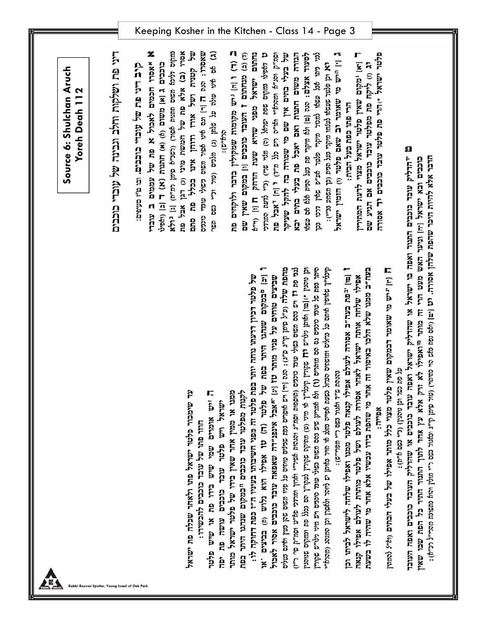| ה ויו "יש מי שאומר רבמקום שאין פלטר מצוי כלל מותר אפילו של בעלי הכתים (וא" להמיון |
|-----------------------------------------------------------------------------------|
|-----------------------------------------------------------------------------------|

ö

Keeping Kosher in the Kitchen - Class 14 - Page 3